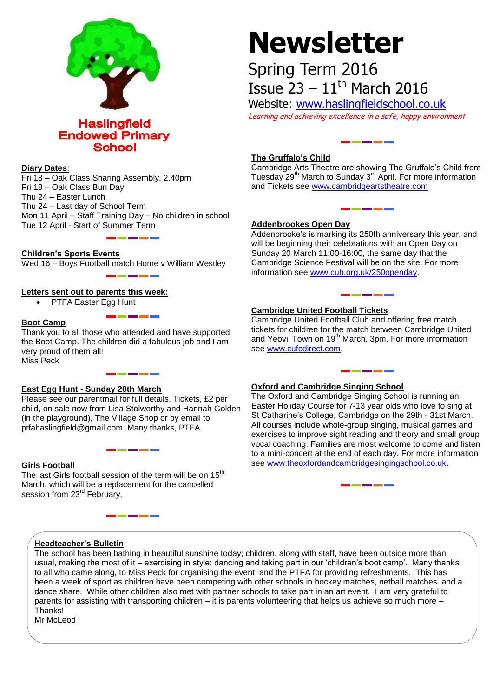

**Haslingfield Endowed Primary School** 

## **Diary Dates**:

Fri 18 – Oak Class Sharing Assembly, 2.40pm Fri 18 – Oak Class Bun Day Thu 24 – Easter Lunch Thu 24 – Last day of School Term Mon 11 April – Staff Training Day – No children in school Tue 12 April - Start of Summer Term

**Children's Sports Events**

Wed 16 – Boys Football match Home v William Westley

# **Letters sent out to parents this week:**

• PTFA Easter Egg Hunt

# **Boot Camp**

Thank you to all those who attended and have supported the Boot Camp. The children did a fabulous job and I am very proud of them all! Miss Peck

# **East Egg Hunt - Sunday 20th March**

Please see our parentmail for full details. Tickets, £2 per child, on sale now from Lisa Stolworthy and Hannah Golden (in the playground), The Village Shop or by email to ptfahaslingfield@gmail.com. Many thanks, PTFA.

# **Girls Football**

The last Girls football session of the term will be on  $15<sup>th</sup>$ March, which will be a replacement for the cancelled session from 23<sup>rd</sup> February.

# **Newsletter**

Spring Term 2016 Issue  $23 - 11$ <sup>th</sup> March 2016

Website: [www.haslingfieldschool.co.uk](http://www.haslingfieldschool.co.uk/) Learning and achieving excellence in a safe, happy environment

# **The Gruffalo's Child**

Cambridge Arts Theatre are showing The Gruffalo's Child from Tuesday 29<sup>th</sup> March to Sunday 3<sup>rd</sup> April. For more information and Tickets see [www.cambridgeartstheatre.com](http://www.cambridgeartstheatre.com/)

# **Addenbrookes Open Day**

Addenbrooke's is marking its 250th anniversary this year, and will be beginning their celebrations with an Open Day on Sunday 20 March 11:00-16:00, the same day that the Cambridge Science Festival will be on the site. For more information see [www.cuh.org.uk/250openday.](http://www.cuh.org.uk/250openday)

# **Cambridge United Football Tickets**

Cambridge United Football Club and offering free match tickets for children for the match between Cambridge United and Yeovil Town on 19<sup>th</sup> March, 3pm. For more information see [www.cufcdirect.com.](http://www.cufcdirect.com/)

# **Oxford and Cambridge Singing School**

The Oxford and Cambridge Singing School is running an Easter Holiday Course for 7-13 year olds who love to sing at St Catharine's College, Cambridge on the 29th - 31st March. All courses include whole-group singing, musical games and exercises to improve sight reading and theory and small group vocal coaching. Families are most welcome to come and listen to a mini-concert at the end of each day. For more information see [www.theoxfordandcambridgesingingschool.co.uk.](http://www.theoxfordandcambridgesingingschool.co.uk/)

# **Headteacher's Bulletin**

The school has been bathing in beautiful sunshine today; children, along with staff, have been outside more than usual, making the most of it – exercising in style: dancing and taking part in our 'children's boot camp'. Many thanks to all who came along, to Miss Peck for organising the event, and the PTFA for providing refreshments. This has been a week of sport as children have been competing with other schools in hockey matches, netball matches and a dance share. While other children also met with partner schools to take part in an art event. I am very grateful to parents for assisting with transporting children – it is parents volunteering that helps us achieve so much more – **Thanks!** 

Mr McLeod